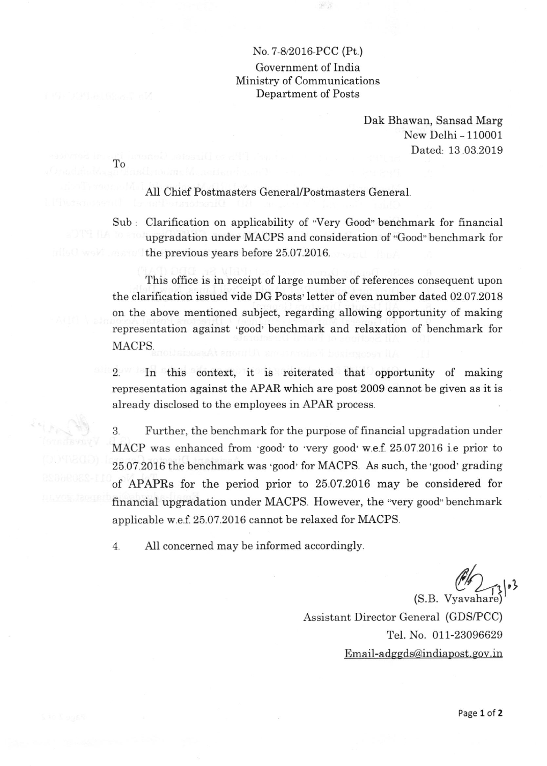## No.7-822016-PCC (Pt.)

Government of India Ministry of Communications Department of Posts

> Dak Bhawan, Sansad Marg New Delhi - 110001 Dated, 13.03.2019

AII Chief Postmasters General/Postmasters General

To

Sub : Clarification on applicability of "Very Good" benchmark for financial upgradation under MACPS and consideration of 'Good" benchmark for the previous years before 25.07 .2076.

This office is in receipt of large number of references consequent upon the clarifrcation issued vide DG Posts'letter of even number dated 02.07.2018 on the above mentioned subject, regarding allowing opportunity of making representation against 'good' benchmark and relaxation of benchmark for MACPS.

2. In this context, it is reiterated that opportunity of making representation against the APAR which are post 2009 cannot be given as it is already disclosed to the employees in APAR process.

3 Further, the benchmark for the purpose of financial upgradation under MACP was enhanced from 'good'to 'very good' w.e.f. 25.07.2016 i.e prior to 25.07.20L6 the benchmark was 'good' for MACPS. As such, the'good' grading of APAPRs for the period prior to 25.07.20L6 may be considered for financial upgradation under MACPS. However, the "very good" benchmark applicable w.e.f.25.07.2016 cannot be relaxed for MACPS.

4. AlI concerned may be informed accordingly.

 $\mathbb{C}$  $(S.B. Vyavahare)$ 

Assistant Director General (GDS/PCC) Tel. No. 011-23096629 Email-adggds@indiapost.gov.in